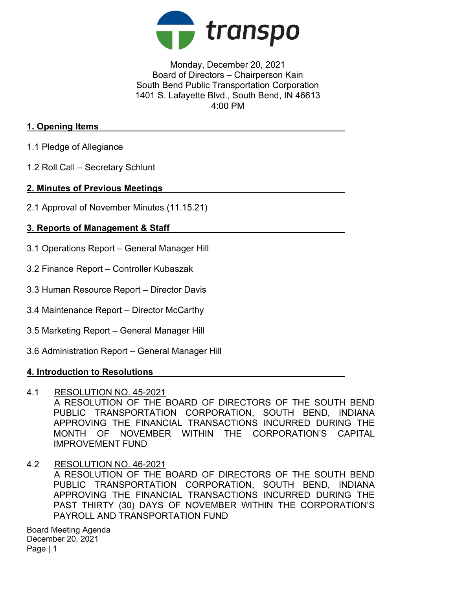

## Monday, December 20, 2021 Board of Directors – Chairperson Kain South Bend Public Transportation Corporation 1401 S. Lafayette Blvd., South Bend, IN 46613 4:00 PM

#### 1. Opening Items

- 1.1 Pledge of Allegiance
- 1.2 Roll Call Secretary Schlunt

## 2. Minutes of Previous Meetings

2.1 Approval of November Minutes (11.15.21)

# 3. Reports of Management & Staff

- 3.1 Operations Report General Manager Hill
- 3.2 Finance Report Controller Kubaszak
- 3.3 Human Resource Report Director Davis
- 3.4 Maintenance Report Director McCarthy
- 3.5 Marketing Report General Manager Hill
- 3.6 Administration Report General Manager Hill

# 4. Introduction to Resolutions

#### 4.1 RESOLUTION NO. 45-2021

A RESOLUTION OF THE BOARD OF DIRECTORS OF THE SOUTH BEND PUBLIC TRANSPORTATION CORPORATION, SOUTH BEND, INDIANA APPROVING THE FINANCIAL TRANSACTIONS INCURRED DURING THE MONTH OF NOVEMBER WITHIN THE CORPORATION'S CAPITAL IMPROVEMENT FUND

4.2 RESOLUTION NO. 46-2021 A RESOLUTION OF THE BOARD OF DIRECTORS OF THE SOUTH BEND PUBLIC TRANSPORTATION CORPORATION, SOUTH BEND, INDIANA APPROVING THE FINANCIAL TRANSACTIONS INCURRED DURING THE PAST THIRTY (30) DAYS OF NOVEMBER WITHIN THE CORPORATION'S PAYROLL AND TRANSPORTATION FUND

Board Meeting Agenda December 20, 2021 Page | 1